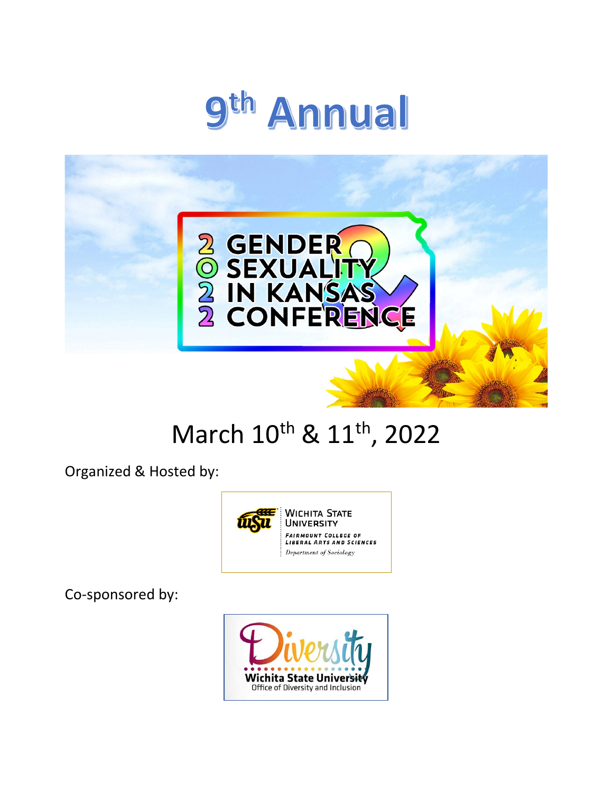



# March 10<sup>th</sup> & 11<sup>th</sup>, 2022

Organized & Hosted by:



Co-sponsored by:

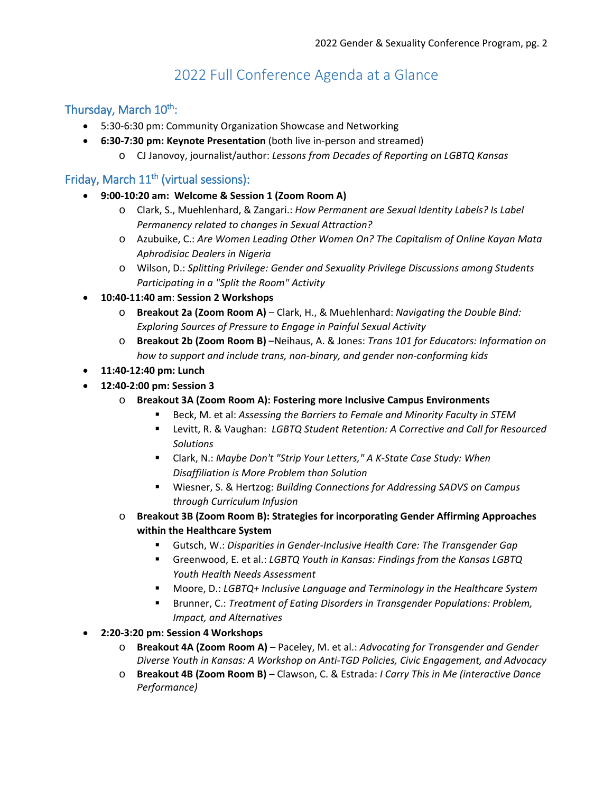## 2022 Full Conference Agenda at a Glance

## Thursday, March 10<sup>th</sup>:

- 5:30-6:30 pm: Community Organization Showcase and Networking
- **6:30-7:30 pm: Keynote Presentation** (both live in-person and streamed)
	- o CJ Janovoy, journalist/author: *Lessons from Decades of Reporting on LGBTQ Kansas*

## Friday, March 11<sup>th</sup> (virtual sessions):

- **9:00-10:20 am: Welcome & Session 1 (Zoom Room A)**
	- o Clark, S., Muehlenhard, & Zangari.: *How Permanent are Sexual Identity Labels? Is Label Permanency related to changes in Sexual Attraction?*
	- o Azubuike, C.: *Are Women Leading Other Women On? The Capitalism of Online Kayan Mata Aphrodisiac Dealers in Nigeria*
	- o Wilson, D.: *Splitting Privilege: Gender and Sexuality Privilege Discussions among Students Participating in a "Split the Room" Activity*
- **10:40-11:40 am**: **Session 2 Workshops**
	- o **Breakout 2a (Zoom Room A)** Clark, H., & Muehlenhard: *Navigating the Double Bind: Exploring Sources of Pressure to Engage in Painful Sexual Activity*
	- o **Breakout 2b (Zoom Room B)** –Neihaus, A. & Jones: *Trans 101 for Educators: Information on how to support and include trans, non-binary, and gender non-conforming kids*
- **11:40-12:40 pm: Lunch**
- **12:40-2:00 pm: Session 3**
	- o **Breakout 3A (Zoom Room A): Fostering more Inclusive Campus Environments**
		- Beck, M. et al: *Assessing the Barriers to Female and Minority Faculty in STEM*
		- Levitt, R. & Vaughan: *LGBTQ Student Retention: A Corrective and Call for Resourced Solutions*
		- Clark, N.: *Maybe Don't "Strip Your Letters," A K-State Case Study: When Disaffiliation is More Problem than Solution*
		- Wiesner, S. & Hertzog: *Building Connections for Addressing SADVS on Campus through Curriculum Infusion*
	- o **Breakout 3B (Zoom Room B): Strategies for incorporating Gender Affirming Approaches within the Healthcare System**
		- Gutsch, W.: *Disparities in Gender-Inclusive Health Care: The Transgender Gap*
		- Greenwood, E. et al.: *LGBTQ Youth in Kansas: Findings from the Kansas LGBTQ Youth Health Needs Assessment*
		- Moore, D.: *LGBTQ+ Inclusive Language and Terminology in the Healthcare System*
		- **Brunner, C.:** *Treatment of Eating Disorders in Transgender Populations: Problem, Impact, and Alternatives*
- **2:20-3:20 pm: Session 4 Workshops** 
	- o **Breakout 4A (Zoom Room A)** Paceley, M. et al.: *Advocating for Transgender and Gender Diverse Youth in Kansas: A Workshop on Anti-TGD Policies, Civic Engagement, and Advocacy*
	- o **Breakout 4B (Zoom Room B)** Clawson, C. & Estrada: *I Carry This in Me (interactive Dance Performance)*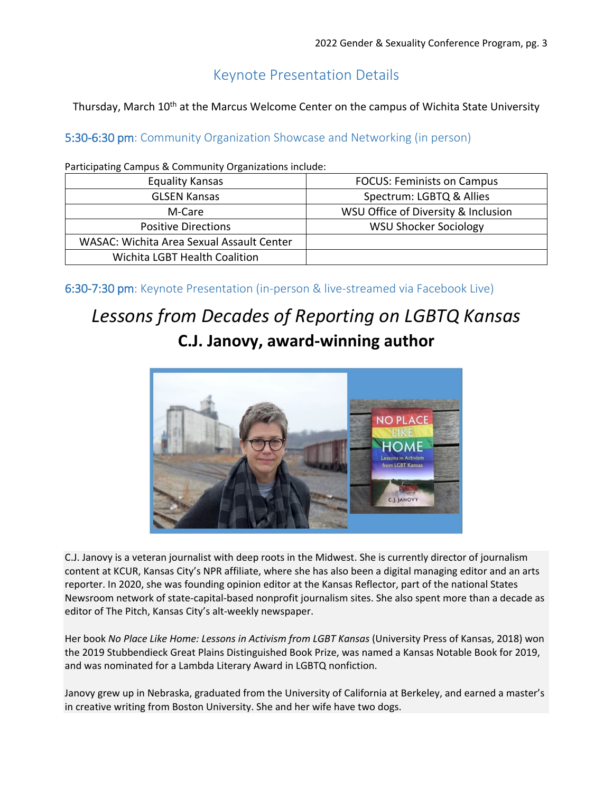## Keynote Presentation Details

Thursday, March 10<sup>th</sup> at the Marcus Welcome Center on the campus of Wichita State University

## 5:30-6:30 pm: Community Organization Showcase and Networking (in person)

Participating Campus & Community Organizations include:

| <b>Equality Kansas</b>                    | <b>FOCUS: Feminists on Campus</b>   |
|-------------------------------------------|-------------------------------------|
| <b>GLSEN Kansas</b>                       | Spectrum: LGBTQ & Allies            |
| M-Care                                    | WSU Office of Diversity & Inclusion |
| <b>Positive Directions</b>                | <b>WSU Shocker Sociology</b>        |
| WASAC: Wichita Area Sexual Assault Center |                                     |
| Wichita LGBT Health Coalition             |                                     |

6:30-7:30 pm: Keynote Presentation (in-person & live-streamed via Facebook Live)

## *Lessons from Decades of Reporting on LGBTQ Kansas* **C.J. Janovy, award-winning author**



C.J. Janovy is a veteran journalist with deep roots in the Midwest. She is currently director of journalism content at KCUR, Kansas City's NPR affiliate, where she has also been a digital managing editor and an arts reporter. In 2020, she was founding opinion editor at the Kansas Reflector, part of the national States Newsroom network of state-capital-based nonprofit journalism sites. She also spent more than a decade as editor of The Pitch, Kansas City's alt-weekly newspaper.

Her book *No Place Like Home: Lessons in Activism from LGBT Kansas* (University Press of Kansas, 2018) won the 2019 Stubbendieck Great Plains Distinguished Book Prize, was named a Kansas Notable Book for 2019, and was nominated for a Lambda Literary Award in LGBTQ nonfiction.

Janovy grew up in Nebraska, graduated from the University of California at Berkeley, and earned a master's in creative writing from Boston University. She and her wife have two dogs.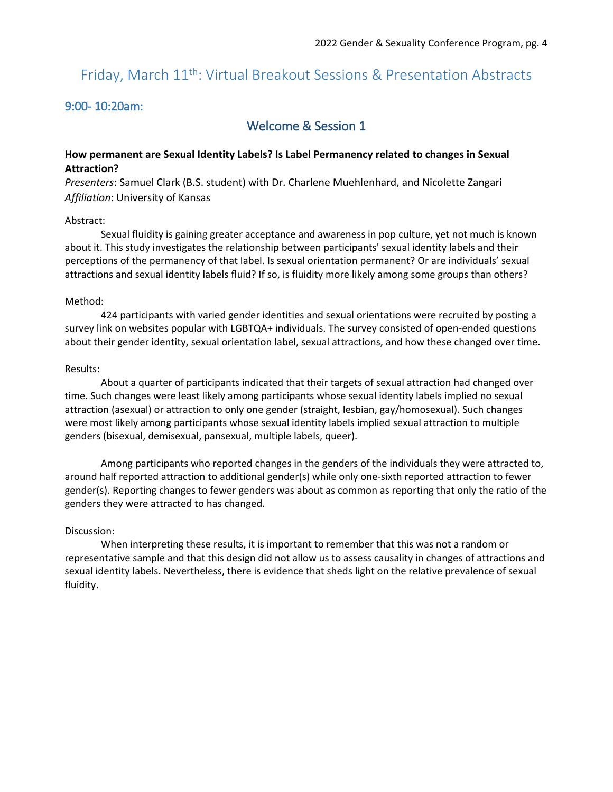## Friday, March 11th: Virtual Breakout Sessions & Presentation Abstracts

## 9:00- 10:20am:

## Welcome & Session 1

## **How permanent are Sexual Identity Labels? Is Label Permanency related to changes in Sexual Attraction?**

*Presenters*: Samuel Clark (B.S. student) with Dr. Charlene Muehlenhard, and Nicolette Zangari *Affiliation*: University of Kansas

#### Abstract:

Sexual fluidity is gaining greater acceptance and awareness in pop culture, yet not much is known about it. This study investigates the relationship between participants' sexual identity labels and their perceptions of the permanency of that label. Is sexual orientation permanent? Or are individuals' sexual attractions and sexual identity labels fluid? If so, is fluidity more likely among some groups than others?

#### Method:

424 participants with varied gender identities and sexual orientations were recruited by posting a survey link on websites popular with LGBTQA+ individuals. The survey consisted of open-ended questions about their gender identity, sexual orientation label, sexual attractions, and how these changed over time.

#### Results:

About a quarter of participants indicated that their targets of sexual attraction had changed over time. Such changes were least likely among participants whose sexual identity labels implied no sexual attraction (asexual) or attraction to only one gender (straight, lesbian, gay/homosexual). Such changes were most likely among participants whose sexual identity labels implied sexual attraction to multiple genders (bisexual, demisexual, pansexual, multiple labels, queer).

Among participants who reported changes in the genders of the individuals they were attracted to, around half reported attraction to additional gender(s) while only one-sixth reported attraction to fewer gender(s). Reporting changes to fewer genders was about as common as reporting that only the ratio of the genders they were attracted to has changed.

#### Discussion:

When interpreting these results, it is important to remember that this was not a random or representative sample and that this design did not allow us to assess causality in changes of attractions and sexual identity labels. Nevertheless, there is evidence that sheds light on the relative prevalence of sexual fluidity.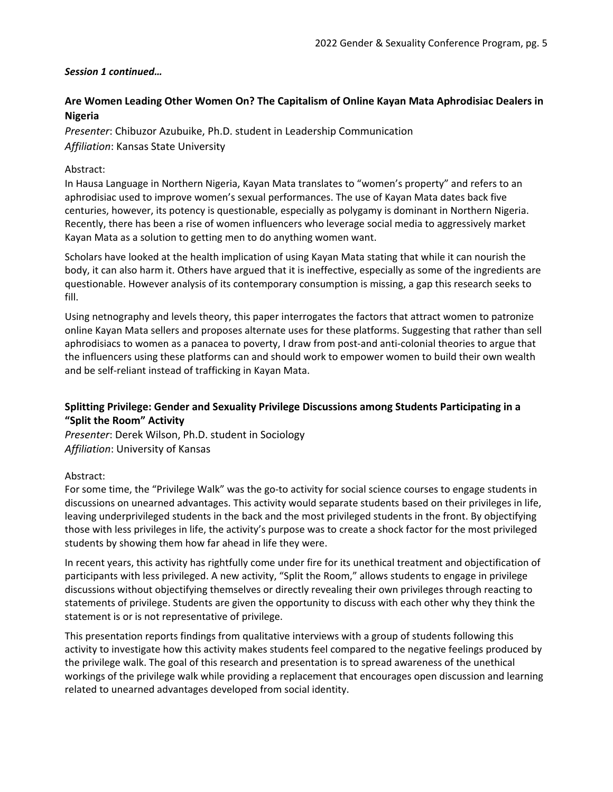## *Session 1 continued…*

## **Are Women Leading Other Women On? The Capitalism of Online Kayan Mata Aphrodisiac Dealers in Nigeria**

*Presenter*: Chibuzor Azubuike, Ph.D. student in Leadership Communication *Affiliation*: Kansas State University

## Abstract:

In Hausa Language in Northern Nigeria, Kayan Mata translates to "women's property" and refers to an aphrodisiac used to improve women's sexual performances. The use of Kayan Mata dates back five centuries, however, its potency is questionable, especially as polygamy is dominant in Northern Nigeria. Recently, there has been a rise of women influencers who leverage social media to aggressively market Kayan Mata as a solution to getting men to do anything women want.

Scholars have looked at the health implication of using Kayan Mata stating that while it can nourish the body, it can also harm it. Others have argued that it is ineffective, especially as some of the ingredients are questionable. However analysis of its contemporary consumption is missing, a gap this research seeks to fill.

Using netnography and levels theory, this paper interrogates the factors that attract women to patronize online Kayan Mata sellers and proposes alternate uses for these platforms. Suggesting that rather than sell aphrodisiacs to women as a panacea to poverty, I draw from post-and anti-colonial theories to argue that the influencers using these platforms can and should work to empower women to build their own wealth and be self-reliant instead of trafficking in Kayan Mata.

## **Splitting Privilege: Gender and Sexuality Privilege Discussions among Students Participating in a "Split the Room" Activity**

*Presenter*: Derek Wilson, Ph.D. student in Sociology *Affiliation*: University of Kansas

### Abstract:

For some time, the "Privilege Walk" was the go-to activity for social science courses to engage students in discussions on unearned advantages. This activity would separate students based on their privileges in life, leaving underprivileged students in the back and the most privileged students in the front. By objectifying those with less privileges in life, the activity's purpose was to create a shock factor for the most privileged students by showing them how far ahead in life they were.

In recent years, this activity has rightfully come under fire for its unethical treatment and objectification of participants with less privileged. A new activity, "Split the Room," allows students to engage in privilege discussions without objectifying themselves or directly revealing their own privileges through reacting to statements of privilege. Students are given the opportunity to discuss with each other why they think the statement is or is not representative of privilege.

This presentation reports findings from qualitative interviews with a group of students following this activity to investigate how this activity makes students feel compared to the negative feelings produced by the privilege walk. The goal of this research and presentation is to spread awareness of the unethical workings of the privilege walk while providing a replacement that encourages open discussion and learning related to unearned advantages developed from social identity.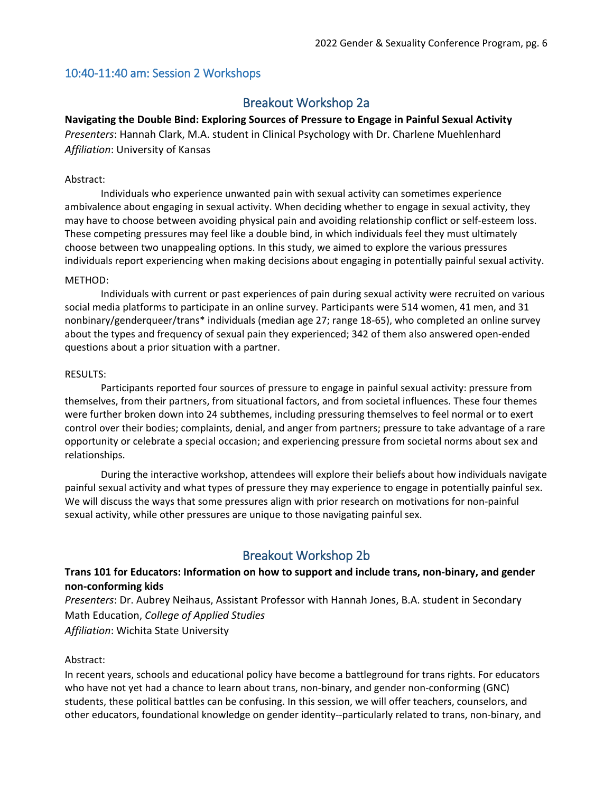## 10:40-11:40 am: Session 2 Workshops

## Breakout Workshop 2a

**Navigating the Double Bind: Exploring Sources of Pressure to Engage in Painful Sexual Activity** *Presenters*: Hannah Clark, M.A. student in Clinical Psychology with Dr. Charlene Muehlenhard *Affiliation*: University of Kansas

## Abstract:

Individuals who experience unwanted pain with sexual activity can sometimes experience ambivalence about engaging in sexual activity. When deciding whether to engage in sexual activity, they may have to choose between avoiding physical pain and avoiding relationship conflict or self-esteem loss. These competing pressures may feel like a double bind, in which individuals feel they must ultimately choose between two unappealing options. In this study, we aimed to explore the various pressures individuals report experiencing when making decisions about engaging in potentially painful sexual activity.

### METHOD:

Individuals with current or past experiences of pain during sexual activity were recruited on various social media platforms to participate in an online survey. Participants were 514 women, 41 men, and 31 nonbinary/genderqueer/trans\* individuals (median age 27; range 18-65), who completed an online survey about the types and frequency of sexual pain they experienced; 342 of them also answered open-ended questions about a prior situation with a partner.

### RESULTS:

Participants reported four sources of pressure to engage in painful sexual activity: pressure from themselves, from their partners, from situational factors, and from societal influences. These four themes were further broken down into 24 subthemes, including pressuring themselves to feel normal or to exert control over their bodies; complaints, denial, and anger from partners; pressure to take advantage of a rare opportunity or celebrate a special occasion; and experiencing pressure from societal norms about sex and relationships.

During the interactive workshop, attendees will explore their beliefs about how individuals navigate painful sexual activity and what types of pressure they may experience to engage in potentially painful sex. We will discuss the ways that some pressures align with prior research on motivations for non-painful sexual activity, while other pressures are unique to those navigating painful sex.

## Breakout Workshop 2b

## **Trans 101 for Educators: Information on how to support and include trans, non-binary, and gender non-conforming kids**

*Presenters*: Dr. Aubrey Neihaus, Assistant Professor with Hannah Jones, B.A. student in Secondary Math Education, *College of Applied Studies Affiliation*: Wichita State University

### Abstract:

In recent years, schools and educational policy have become a battleground for trans rights. For educators who have not yet had a chance to learn about trans, non-binary, and gender non-conforming (GNC) students, these political battles can be confusing. In this session, we will offer teachers, counselors, and other educators, foundational knowledge on gender identity--particularly related to trans, non-binary, and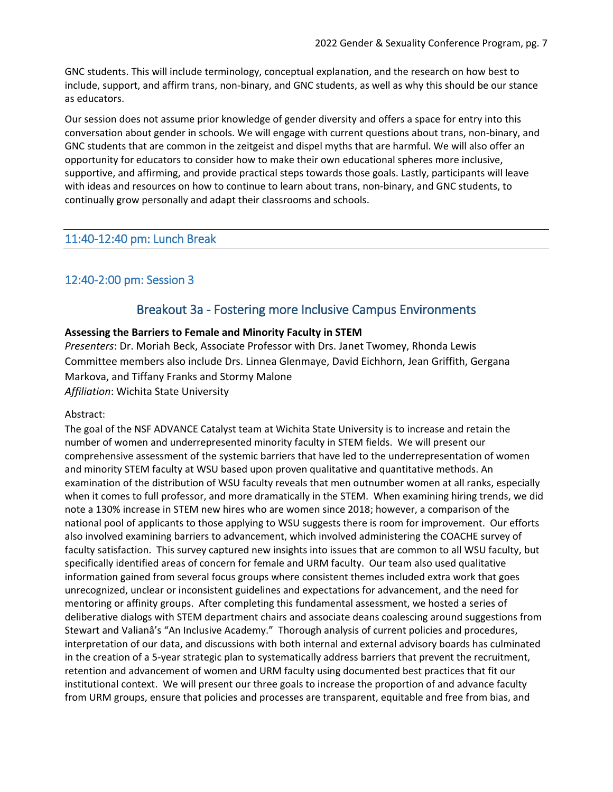GNC students. This will include terminology, conceptual explanation, and the research on how best to include, support, and affirm trans, non-binary, and GNC students, as well as why this should be our stance as educators.

Our session does not assume prior knowledge of gender diversity and offers a space for entry into this conversation about gender in schools. We will engage with current questions about trans, non-binary, and GNC students that are common in the zeitgeist and dispel myths that are harmful. We will also offer an opportunity for educators to consider how to make their own educational spheres more inclusive, supportive, and affirming, and provide practical steps towards those goals. Lastly, participants will leave with ideas and resources on how to continue to learn about trans, non-binary, and GNC students, to continually grow personally and adapt their classrooms and schools.

## 11:40-12:40 pm: Lunch Break

## 12:40-2:00 pm: Session 3

## Breakout 3a - Fostering more Inclusive Campus Environments

## **Assessing the Barriers to Female and Minority Faculty in STEM**

*Presenters*: Dr. Moriah Beck, Associate Professor with Drs. Janet Twomey, Rhonda Lewis Committee members also include Drs. Linnea Glenmaye, David Eichhorn, Jean Griffith, Gergana Markova, and Tiffany Franks and Stormy Malone *Affiliation*: Wichita State University

### Abstract:

The goal of the NSF ADVANCE Catalyst team at Wichita State University is to increase and retain the number of women and underrepresented minority faculty in STEM fields. We will present our comprehensive assessment of the systemic barriers that have led to the underrepresentation of women and minority STEM faculty at WSU based upon proven qualitative and quantitative methods. An examination of the distribution of WSU faculty reveals that men outnumber women at all ranks, especially when it comes to full professor, and more dramatically in the STEM. When examining hiring trends, we did note a 130% increase in STEM new hires who are women since 2018; however, a comparison of the national pool of applicants to those applying to WSU suggests there is room for improvement. Our efforts also involved examining barriers to advancement, which involved administering the COACHE survey of faculty satisfaction. This survey captured new insights into issues that are common to all WSU faculty, but specifically identified areas of concern for female and URM faculty. Our team also used qualitative information gained from several focus groups where consistent themes included extra work that goes unrecognized, unclear or inconsistent guidelines and expectations for advancement, and the need for mentoring or affinity groups. After completing this fundamental assessment, we hosted a series of deliberative dialogs with STEM department chairs and associate deans coalescing around suggestions from Stewart and Valianâ's "An Inclusive Academy." Thorough analysis of current policies and procedures, interpretation of our data, and discussions with both internal and external advisory boards has culminated in the creation of a 5-year strategic plan to systematically address barriers that prevent the recruitment, retention and advancement of women and URM faculty using documented best practices that fit our institutional context. We will present our three goals to increase the proportion of and advance faculty from URM groups, ensure that policies and processes are transparent, equitable and free from bias, and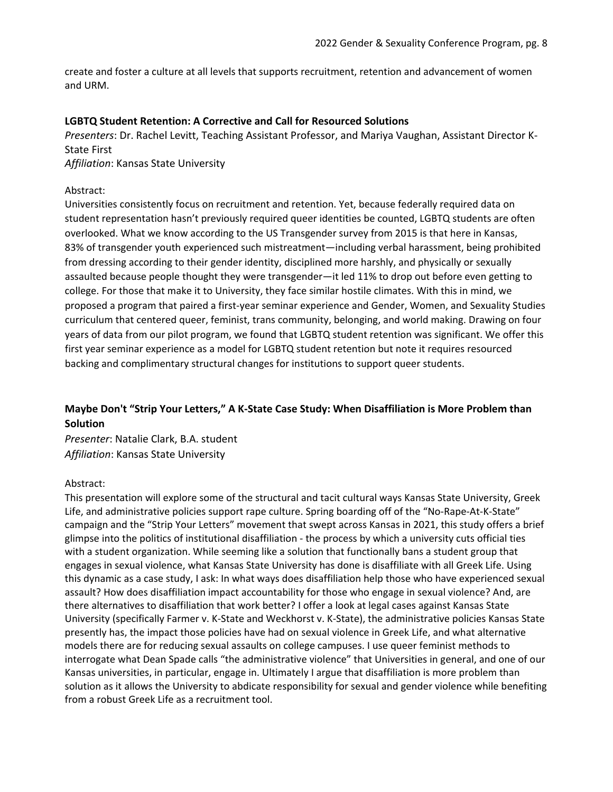create and foster a culture at all levels that supports recruitment, retention and advancement of women and URM.

#### **LGBTQ Student Retention: A Corrective and Call for Resourced Solutions**

*Presenters*: Dr. Rachel Levitt, Teaching Assistant Professor, and Mariya Vaughan, Assistant Director K-State First

*Affiliation*: Kansas State University

#### Abstract:

Universities consistently focus on recruitment and retention. Yet, because federally required data on student representation hasn't previously required queer identities be counted, LGBTQ students are often overlooked. What we know according to the US Transgender survey from 2015 is that here in Kansas, 83% of transgender youth experienced such mistreatment—including verbal harassment, being prohibited from dressing according to their gender identity, disciplined more harshly, and physically or sexually assaulted because people thought they were transgender—it led 11% to drop out before even getting to college. For those that make it to University, they face similar hostile climates. With this in mind, we proposed a program that paired a first-year seminar experience and Gender, Women, and Sexuality Studies curriculum that centered queer, feminist, trans community, belonging, and world making. Drawing on four years of data from our pilot program, we found that LGBTQ student retention was significant. We offer this first year seminar experience as a model for LGBTQ student retention but note it requires resourced backing and complimentary structural changes for institutions to support queer students.

## **Maybe Don't "Strip Your Letters," A K-State Case Study: When Disaffiliation is More Problem than Solution**

*Presenter*: Natalie Clark, B.A. student *Affiliation*: Kansas State University

### Abstract:

This presentation will explore some of the structural and tacit cultural ways Kansas State University, Greek Life, and administrative policies support rape culture. Spring boarding off of the "No-Rape-At-K-State" campaign and the "Strip Your Letters" movement that swept across Kansas in 2021, this study offers a brief glimpse into the politics of institutional disaffiliation - the process by which a university cuts official ties with a student organization. While seeming like a solution that functionally bans a student group that engages in sexual violence, what Kansas State University has done is disaffiliate with all Greek Life. Using this dynamic as a case study, I ask: In what ways does disaffiliation help those who have experienced sexual assault? How does disaffiliation impact accountability for those who engage in sexual violence? And, are there alternatives to disaffiliation that work better? I offer a look at legal cases against Kansas State University (specifically Farmer v. K-State and Weckhorst v. K-State), the administrative policies Kansas State presently has, the impact those policies have had on sexual violence in Greek Life, and what alternative models there are for reducing sexual assaults on college campuses. I use queer feminist methods to interrogate what Dean Spade calls "the administrative violence" that Universities in general, and one of our Kansas universities, in particular, engage in. Ultimately I argue that disaffiliation is more problem than solution as it allows the University to abdicate responsibility for sexual and gender violence while benefiting from a robust Greek Life as a recruitment tool.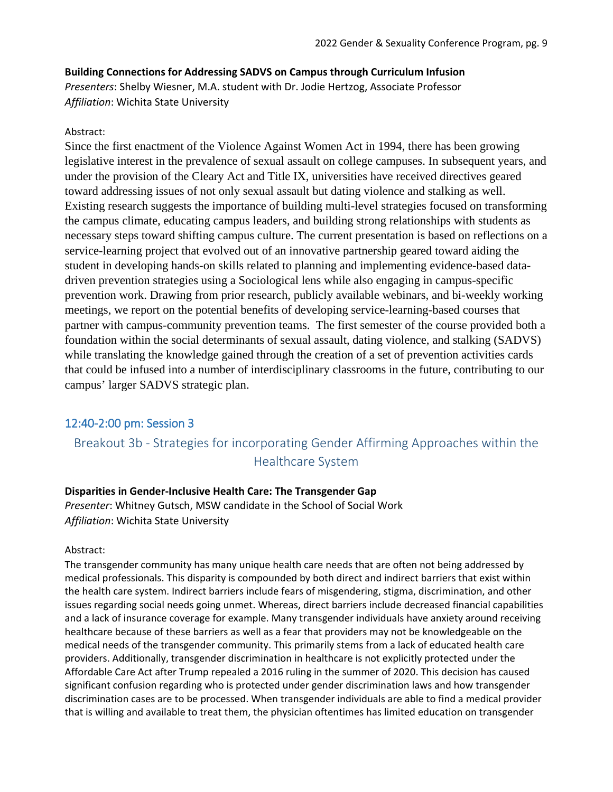## **Building Connections for Addressing SADVS on Campus through Curriculum Infusion**

*Presenters*: Shelby Wiesner, M.A. student with Dr. Jodie Hertzog, Associate Professor *Affiliation*: Wichita State University

### Abstract:

Since the first enactment of the Violence Against Women Act in 1994, there has been growing legislative interest in the prevalence of sexual assault on college campuses. In subsequent years, and under the provision of the Cleary Act and Title IX, universities have received directives geared toward addressing issues of not only sexual assault but dating violence and stalking as well. Existing research suggests the importance of building multi-level strategies focused on transforming the campus climate, educating campus leaders, and building strong relationships with students as necessary steps toward shifting campus culture. The current presentation is based on reflections on a service-learning project that evolved out of an innovative partnership geared toward aiding the student in developing hands-on skills related to planning and implementing evidence-based datadriven prevention strategies using a Sociological lens while also engaging in campus-specific prevention work. Drawing from prior research, publicly available webinars, and bi-weekly working meetings, we report on the potential benefits of developing service-learning-based courses that partner with campus-community prevention teams. The first semester of the course provided both a foundation within the social determinants of sexual assault, dating violence, and stalking (SADVS) while translating the knowledge gained through the creation of a set of prevention activities cards that could be infused into a number of interdisciplinary classrooms in the future, contributing to our campus' larger SADVS strategic plan.

## 12:40-2:00 pm: Session 3

## Breakout 3b - Strategies for incorporating Gender Affirming Approaches within the Healthcare System

### **Disparities in Gender-Inclusive Health Care: The Transgender Gap**

*Presenter*: Whitney Gutsch, MSW candidate in the School of Social Work *Affiliation*: Wichita State University

#### Abstract:

The transgender community has many unique health care needs that are often not being addressed by medical professionals. This disparity is compounded by both direct and indirect barriers that exist within the health care system. Indirect barriers include fears of misgendering, stigma, discrimination, and other issues regarding social needs going unmet. Whereas, direct barriers include decreased financial capabilities and a lack of insurance coverage for example. Many transgender individuals have anxiety around receiving healthcare because of these barriers as well as a fear that providers may not be knowledgeable on the medical needs of the transgender community. This primarily stems from a lack of educated health care providers. Additionally, transgender discrimination in healthcare is not explicitly protected under the Affordable Care Act after Trump repealed a 2016 ruling in the summer of 2020. This decision has caused significant confusion regarding who is protected under gender discrimination laws and how transgender discrimination cases are to be processed. When transgender individuals are able to find a medical provider that is willing and available to treat them, the physician oftentimes has limited education on transgender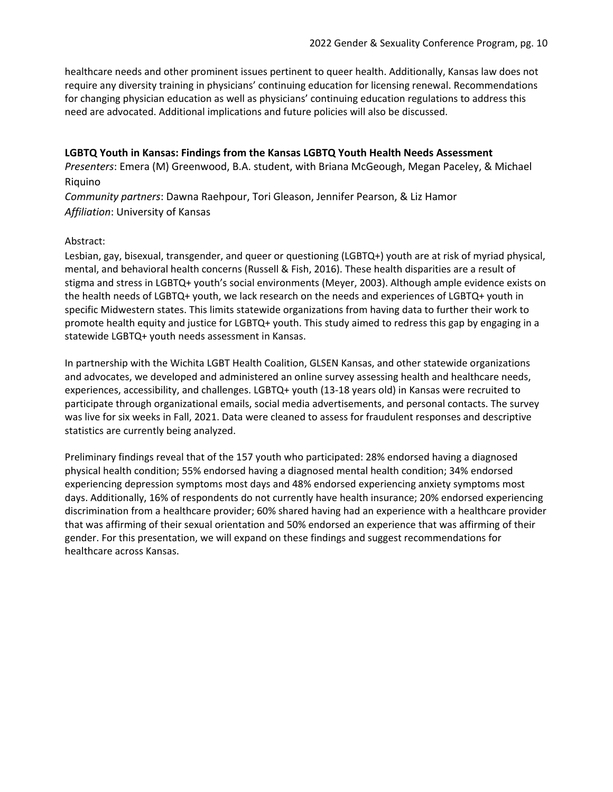healthcare needs and other prominent issues pertinent to queer health. Additionally, Kansas law does not require any diversity training in physicians' continuing education for licensing renewal. Recommendations for changing physician education as well as physicians' continuing education regulations to address this need are advocated. Additional implications and future policies will also be discussed.

**LGBTQ Youth in Kansas: Findings from the Kansas LGBTQ Youth Health Needs Assessment** *Presenters*: Emera (M) Greenwood, B.A. student, with Briana McGeough, Megan Paceley, & Michael Riquino

*Community partners*: Dawna Raehpour, Tori Gleason, Jennifer Pearson, & Liz Hamor *Affiliation*: University of Kansas

## Abstract:

Lesbian, gay, bisexual, transgender, and queer or questioning (LGBTQ+) youth are at risk of myriad physical, mental, and behavioral health concerns (Russell & Fish, 2016). These health disparities are a result of stigma and stress in LGBTQ+ youth's social environments (Meyer, 2003). Although ample evidence exists on the health needs of LGBTQ+ youth, we lack research on the needs and experiences of LGBTQ+ youth in specific Midwestern states. This limits statewide organizations from having data to further their work to promote health equity and justice for LGBTQ+ youth. This study aimed to redress this gap by engaging in a statewide LGBTQ+ youth needs assessment in Kansas.

In partnership with the Wichita LGBT Health Coalition, GLSEN Kansas, and other statewide organizations and advocates, we developed and administered an online survey assessing health and healthcare needs, experiences, accessibility, and challenges. LGBTQ+ youth (13-18 years old) in Kansas were recruited to participate through organizational emails, social media advertisements, and personal contacts. The survey was live for six weeks in Fall, 2021. Data were cleaned to assess for fraudulent responses and descriptive statistics are currently being analyzed.

Preliminary findings reveal that of the 157 youth who participated: 28% endorsed having a diagnosed physical health condition; 55% endorsed having a diagnosed mental health condition; 34% endorsed experiencing depression symptoms most days and 48% endorsed experiencing anxiety symptoms most days. Additionally, 16% of respondents do not currently have health insurance; 20% endorsed experiencing discrimination from a healthcare provider; 60% shared having had an experience with a healthcare provider that was affirming of their sexual orientation and 50% endorsed an experience that was affirming of their gender. For this presentation, we will expand on these findings and suggest recommendations for healthcare across Kansas.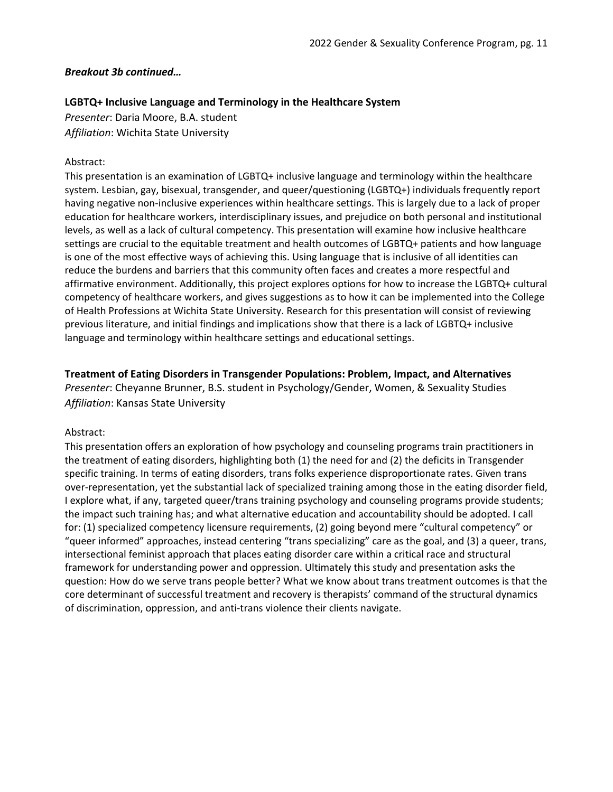## *Breakout 3b continued…*

## **LGBTQ+ Inclusive Language and Terminology in the Healthcare System**

*Presenter*: Daria Moore, B.A. student *Affiliation*: Wichita State University

## Abstract:

This presentation is an examination of LGBTQ+ inclusive language and terminology within the healthcare system. Lesbian, gay, bisexual, transgender, and queer/questioning (LGBTQ+) individuals frequently report having negative non-inclusive experiences within healthcare settings. This is largely due to a lack of proper education for healthcare workers, interdisciplinary issues, and prejudice on both personal and institutional levels, as well as a lack of cultural competency. This presentation will examine how inclusive healthcare settings are crucial to the equitable treatment and health outcomes of LGBTQ+ patients and how language is one of the most effective ways of achieving this. Using language that is inclusive of all identities can reduce the burdens and barriers that this community often faces and creates a more respectful and affirmative environment. Additionally, this project explores options for how to increase the LGBTQ+ cultural competency of healthcare workers, and gives suggestions as to how it can be implemented into the College of Health Professions at Wichita State University. Research for this presentation will consist of reviewing previous literature, and initial findings and implications show that there is a lack of LGBTQ+ inclusive language and terminology within healthcare settings and educational settings.

## **Treatment of Eating Disorders in Transgender Populations: Problem, Impact, and Alternatives**

*Presenter*: Cheyanne Brunner, B.S. student in Psychology/Gender, Women, & Sexuality Studies *Affiliation*: Kansas State University

### Abstract:

This presentation offers an exploration of how psychology and counseling programs train practitioners in the treatment of eating disorders, highlighting both (1) the need for and (2) the deficits in Transgender specific training. In terms of eating disorders, trans folks experience disproportionate rates. Given trans over-representation, yet the substantial lack of specialized training among those in the eating disorder field, I explore what, if any, targeted queer/trans training psychology and counseling programs provide students; the impact such training has; and what alternative education and accountability should be adopted. I call for: (1) specialized competency licensure requirements, (2) going beyond mere "cultural competency" or "queer informed" approaches, instead centering "trans specializing" care as the goal, and (3) a queer, trans, intersectional feminist approach that places eating disorder care within a critical race and structural framework for understanding power and oppression. Ultimately this study and presentation asks the question: How do we serve trans people better? What we know about trans treatment outcomes is that the core determinant of successful treatment and recovery is therapists' command of the structural dynamics of discrimination, oppression, and anti-trans violence their clients navigate.